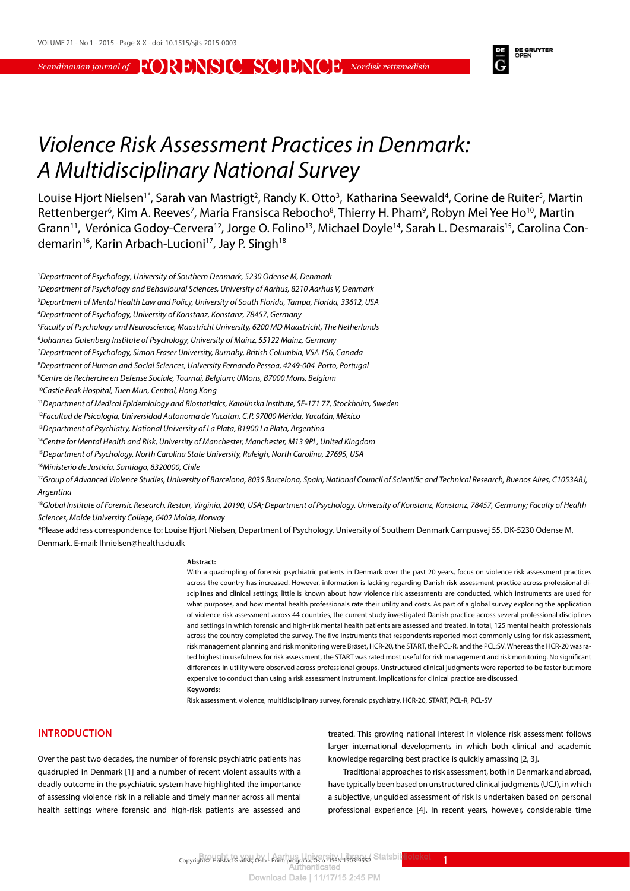

# *Violence Risk Assessment Practices in Denmark: A Multidisciplinary National Survey*

Louise Hjort Nielsen<sup>1\*</sup>, Sarah van Mastrigt<sup>2</sup>, Randy K. Otto<sup>3</sup>, Katharina Seewald<sup>4</sup>, Corine de Ruiter<sup>5</sup>, Martin Rettenberger<sup>6</sup>, Kim A. Reeves<sup>7</sup>, Maria Fransisca Rebocho<sup>8</sup>, Thierry H. Pham<sup>9</sup>, Robyn Mei Yee Ho<sup>10</sup>, Martin Grann<sup>11</sup>, Verónica Godoy-Cervera<sup>12</sup>, Jorge O. Folino<sup>13</sup>, Michael Doyle<sup>14</sup>, Sarah L. Desmarais<sup>15</sup>, Carolina Condemarin<sup>16</sup>, Karin Arbach-Lucioni<sup>17</sup>, Jay P. Singh<sup>18</sup>

2 *Department of Psychology and Behavioural Sciences, University of Aarhus, 8210 Aarhus V, Denmark*

3 *Department of Mental Health Law and Policy, University of South Florida, Tampa, Florida, 33612, USA*

- 5 *Faculty of Psychology and Neuroscience, Maastricht University, 6200 MD Maastricht, The Netherlands*
- 6 *Johannes Gutenberg Institute of Psychology, University of Mainz, 55122 Mainz, Germany*
- 7 *Department of Psychology, Simon Fraser University, Burnaby, British Columbia, V5A 1S6, Canada*
- 8 *Department of Human and Social Sciences, University Fernando Pessoa, 4249-004 Porto, Portugal*
- 9 *Centre de Recherche en Defense Sociale, Tournai, Belgium; UMons, B7000 Mons, Belgium*

<sup>10</sup>*Castle Peak Hospital, Tuen Mun, Central, Hong Kong*

<sup>11</sup>*Department of Medical Epidemiology and Biostatistics, Karolinska Institute, SE-171 77, Stockholm, Sweden*

<sup>12</sup>*Facultad de Psicologia, Universidad Autonoma de Yucatan, C.P. 97000 Mérida, Yucatán, México*

- <sup>13</sup>*Department of Psychiatry, National University of La Plata, B1900 La Plata, Argentina*
- <sup>14</sup>*Centre for Mental Health and Risk, University of Manchester, Manchester, M13 9PL, United Kingdom*
- <sup>15</sup>*Department of Psychology, North Carolina State University, Raleigh, North Carolina, 27695, USA*
- <sup>16</sup>*Ministerio de Justicia, Santiago, 8320000, Chile*

<sup>17</sup>Group of Advanced Violence Studies, University of Barcelona, 8035 Barcelona, Spain; National Council of Scientific and Technical Research, Buenos Aires, C1053ABJ, *Argentina*

<sup>18</sup>Global Institute of Forensic Research, Reston, Virginia, 20190, USA; Department of Psychology, University of Konstanz, Konstanz, 78457, Germany; Faculty of Health *Sciences, Molde University College, 6402 Molde, Norway*

*\**Please address correspondence to: Louise Hjort Nielsen, Department of Psychology, University of Southern Denmark Campusvej 55, DK-5230 Odense M, Denmark. E-mail: lhnielsen@health.sdu.dk

#### **Abstract:**

With a quadrupling of forensic psychiatric patients in Denmark over the past 20 years, focus on violence risk assessment practices across the country has increased. However, information is lacking regarding Danish risk assessment practice across professional disciplines and clinical settings; little is known about how violence risk assessments are conducted, which instruments are used for what purposes, and how mental health professionals rate their utility and costs. As part of a global survey exploring the application of violence risk assessment across 44 countries, the current study investigated Danish practice across several professional disciplines and settings in which forensic and high-risk mental health patients are assessed and treated. In total, 125 mental health professionals across the country completed the survey. The five instruments that respondents reported most commonly using for risk assessment, risk management planning and risk monitoring were Brøset, HCR-20, the START, the PCL-R, and the PCL:SV. Whereas the HCR-20 was rated highest in usefulness for risk assessment, the START was rated most useful for risk management and risk monitoring. No significant differences in utility were observed across professional groups. Unstructured clinical judgments were reported to be faster but more expensive to conduct than using a risk assessment instrument. Implications for clinical practice are discussed. **Keywords**:

Risk assessment, violence, multidisciplinary survey, forensic psychiatry, HCR-20, START, PCL-R, PCL-SV

#### **INTRODUCTION**

Over the past two decades, the number of forensic psychiatric patients has quadrupled in Denmark [1] and a number of recent violent assaults with a deadly outcome in the psychiatric system have highlighted the importance of assessing violence risk in a reliable and timely manner across all mental health settings where forensic and high-risk patients are assessed and treated. This growing national interest in violence risk assessment follows larger international developments in which both clinical and academic knowledge regarding best practice is quickly amassing [2, 3].

Traditional approaches to risk assessment, both in Denmark and abroad, have typically been based on unstructured clinical judgments (UCJ), in which a subjective, unguided assessment of risk is undertaken based on personal professional experience [4]. In recent years, however, considerable time

Copyright© Holstad Grafisk, Oslo - Print: prografia, Oslo - ISSN 1503-9552 Statsbil<mark>t lioteket</mark>t and

<sup>1</sup> *Department of Psychology*, *University of Southern Denmark, 5230 Odense M, Denmark*

<sup>4</sup> *Department of Psychology, University of Konstanz, Konstanz, 78457, Germany*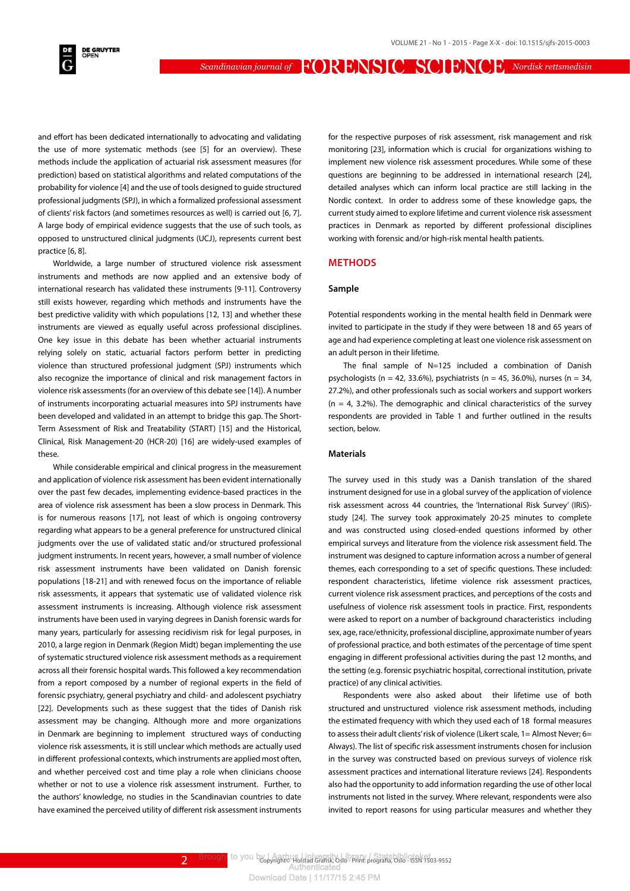**DE GRUYTER**<br>OPEN

*Scandinavian journal of* FORENSIC SCIENCE *Nordisk rettsmedisin*

and effort has been dedicated internationally to advocating and validating the use of more systematic methods (see [5] for an overview). These methods include the application of actuarial risk assessment measures (for prediction) based on statistical algorithms and related computations of the probability for violence [4] and the use of tools designed to guide structured professional judgments (SPJ), in which a formalized professional assessment of clients' risk factors (and sometimes resources as well) is carried out [6, 7]. A large body of empirical evidence suggests that the use of such tools, as opposed to unstructured clinical judgments (UCJ), represents current best practice [6, 8].

Worldwide, a large number of structured violence risk assessment instruments and methods are now applied and an extensive body of international research has validated these instruments [9-11]. Controversy still exists however, regarding which methods and instruments have the best predictive validity with which populations [12, 13] and whether these instruments are viewed as equally useful across professional disciplines. One key issue in this debate has been whether actuarial instruments relying solely on static, actuarial factors perform better in predicting violence than structured professional judgment (SPJ) instruments which also recognize the importance of clinical and risk management factors in violence risk assessments (for an overview of this debate see [14]). A number of instruments incorporating actuarial measures into SPJ instruments have been developed and validated in an attempt to bridge this gap. The Short-Term Assessment of Risk and Treatability (START) [15] and the Historical, Clinical, Risk Management-20 (HCR-20) [16] are widely-used examples of these.

While considerable empirical and clinical progress in the measurement and application of violence risk assessment has been evident internationally over the past few decades, implementing evidence-based practices in the area of violence risk assessment has been a slow process in Denmark. This is for numerous reasons [17], not least of which is ongoing controversy regarding what appears to be a general preference for unstructured clinical judgments over the use of validated static and/or structured professional judgment instruments. In recent years, however, a small number of violence risk assessment instruments have been validated on Danish forensic populations [18-21] and with renewed focus on the importance of reliable risk assessments, it appears that systematic use of validated violence risk assessment instruments is increasing. Although violence risk assessment instruments have been used in varying degrees in Danish forensic wards for many years, particularly for assessing recidivism risk for legal purposes, in 2010, a large region in Denmark (Region Midt) began implementing the use of systematic structured violence risk assessment methods as a requirement across all their forensic hospital wards. This followed a key recommendation from a report composed by a number of regional experts in the field of forensic psychiatry, general psychiatry and child- and adolescent psychiatry [22]. Developments such as these suggest that the tides of Danish risk assessment may be changing. Although more and more organizations in Denmark are beginning to implement structured ways of conducting violence risk assessments, it is still unclear which methods are actually used in different professional contexts, which instruments are applied most often, and whether perceived cost and time play a role when clinicians choose whether or not to use a violence risk assessment instrument. Further, to the authors' knowledge, no studies in the Scandinavian countries to date have examined the perceived utility of different risk assessment instruments

for the respective purposes of risk assessment, risk management and risk monitoring [23], information which is crucial for organizations wishing to implement new violence risk assessment procedures. While some of these questions are beginning to be addressed in international research [24], detailed analyses which can inform local practice are still lacking in the Nordic context. In order to address some of these knowledge gaps, the current study aimed to explore lifetime and current violence risk assessment practices in Denmark as reported by different professional disciplines working with forensic and/or high-risk mental health patients.

#### **METHODS**

#### **Sample**

Potential respondents working in the mental health field in Denmark were invited to participate in the study if they were between 18 and 65 years of age and had experience completing at least one violence risk assessment on an adult person in their lifetime.

The final sample of N=125 included a combination of Danish psychologists (n = 42, 33.6%), psychiatrists (n = 45, 36.0%), nurses (n = 34, 27.2%), and other professionals such as social workers and support workers  $(n = 4, 3.2\%)$ . The demographic and clinical characteristics of the survey respondents are provided in Table 1 and further outlined in the results section, below.

#### **Materials**

The survey used in this study was a Danish translation of the shared instrument designed for use in a global survey of the application of violence risk assessment across 44 countries, the 'International Risk Survey' (IRiS) study [24]. The survey took approximately 20-25 minutes to complete and was constructed using closed-ended questions informed by other empirical surveys and literature from the violence risk assessment field. The instrument was designed to capture information across a number of general themes, each corresponding to a set of specific questions. These included: respondent characteristics, lifetime violence risk assessment practices, current violence risk assessment practices, and perceptions of the costs and usefulness of violence risk assessment tools in practice. First, respondents were asked to report on a number of background characteristics including sex, age, race/ethnicity, professional discipline, approximate number of years of professional practice, and both estimates of the percentage of time spent engaging in different professional activities during the past 12 months, and the setting (e.g. forensic psychiatric hospital, correctional institution, private practice) of any clinical activities.

Respondents were also asked about their lifetime use of both structured and unstructured violence risk assessment methods, including the estimated frequency with which they used each of 18 formal measures to assess their adult clients' risk of violence (Likert scale,  $1=$  Almost Never; 6= Always). The list of specific risk assessment instruments chosen for inclusion in the survey was constructed based on previous surveys of violence risk assessment practices and international literature reviews [24]. Respondents also had the opportunity to add information regarding the use of other local instruments not listed in the survey. Where relevant, respondents were also invited to report reasons for using particular measures and whether they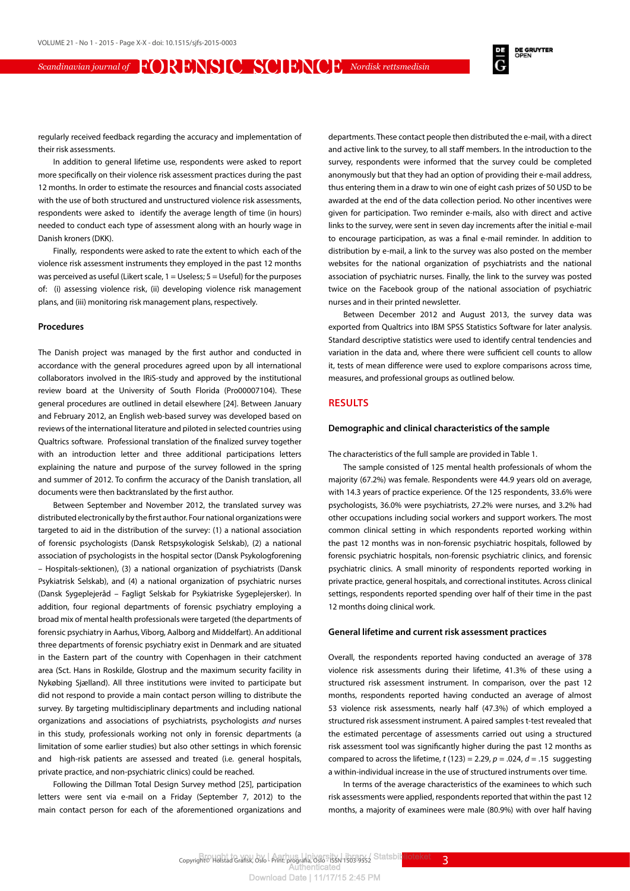**DE GRUYTER**<br>OPEN

regularly received feedback regarding the accuracy and implementation of their risk assessments.

In addition to general lifetime use, respondents were asked to report more specifically on their violence risk assessment practices during the past 12 months. In order to estimate the resources and financial costs associated with the use of both structured and unstructured violence risk assessments respondents were asked to identify the average length of time (in hours) needed to conduct each type of assessment along with an hourly wage in Danish kroners (DKK).

Finally, respondents were asked to rate the extent to which each of the violence risk assessment instruments they employed in the past 12 months was perceived as useful (Likert scale,  $1 =$  Useless;  $5 =$  Useful) for the purposes of: (i) assessing violence risk, (ii) developing violence risk management plans, and (iii) monitoring risk management plans, respectively.

#### **Procedures**

The Danish project was managed by the first author and conducted in accordance with the general procedures agreed upon by all international collaborators involved in the IRiS-study and approved by the institutional review board at the University of South Florida (Pro00007104). These general procedures are outlined in detail elsewhere [24]. Between January and February 2012, an English web-based survey was developed based on reviews of the international literature and piloted in selected countries using Qualtrics software. Professional translation of the finalized survey together with an introduction letter and three additional participations letters explaining the nature and purpose of the survey followed in the spring and summer of 2012. To confirm the accuracy of the Danish translation, all documents were then backtranslated by the first author.

Between September and November 2012, the translated survey was distributed electronically by the first author. Four national organizations were targeted to aid in the distribution of the survey: (1) a national association of forensic psychologists (Dansk Retspsykologisk Selskab), (2) a national association of psychologists in the hospital sector (Dansk Psykologforening – Hospitals-sektionen), (3) a national organization of psychiatrists (Dansk Psykiatrisk Selskab), and (4) a national organization of psychiatric nurses (Dansk Sygeplejeråd – Fagligt Selskab for Psykiatriske Sygeplejersker). In addition, four regional departments of forensic psychiatry employing a broad mix of mental health professionals were targeted (the departments of forensic psychiatry in Aarhus, Viborg, Aalborg and Middelfart). An additional three departments of forensic psychiatry exist in Denmark and are situated in the Eastern part of the country with Copenhagen in their catchment area (Sct. Hans in Roskilde, Glostrup and the maximum security facility in Nykøbing Sjælland). All three institutions were invited to participate but did not respond to provide a main contact person willing to distribute the survey. By targeting multidisciplinary departments and including national organizations and associations of psychiatrists, psychologists *and* nurses in this study, professionals working not only in forensic departments (a limitation of some earlier studies) but also other settings in which forensic and high-risk patients are assessed and treated (i.e. general hospitals, private practice, and non-psychiatric clinics) could be reached.

Following the Dillman Total Design Survey method [25], participation letters were sent via e-mail on a Friday (September 7, 2012) to the main contact person for each of the aforementioned organizations and departments. These contact people then distributed the e-mail, with a direct and active link to the survey, to all staff members. In the introduction to the survey, respondents were informed that the survey could be completed anonymously but that they had an option of providing their e-mail address, thus entering them in a draw to win one of eight cash prizes of 50 USD to be awarded at the end of the data collection period. No other incentives were given for participation. Two reminder e-mails, also with direct and active links to the survey, were sent in seven day increments after the initial e-mail to encourage participation, as was a final e-mail reminder. In addition to distribution by e-mail, a link to the survey was also posted on the member websites for the national organization of psychiatrists and the national association of psychiatric nurses. Finally, the link to the survey was posted twice on the Facebook group of the national association of psychiatric nurses and in their printed newsletter.

Between December 2012 and August 2013, the survey data was exported from Qualtrics into IBM SPSS Statistics Software for later analysis. Standard descriptive statistics were used to identify central tendencies and variation in the data and, where there were sufficient cell counts to allow it, tests of mean difference were used to explore comparisons across time, measures, and professional groups as outlined below.

#### **RESULTS**

#### **Demographic and clinical characteristics of the sample**

The characteristics of the full sample are provided in Table 1.

The sample consisted of 125 mental health professionals of whom the majority (67.2%) was female. Respondents were 44.9 years old on average, with 14.3 years of practice experience. Of the 125 respondents, 33.6% were psychologists, 36.0% were psychiatrists, 27.2% were nurses, and 3.2% had other occupations including social workers and support workers. The most common clinical setting in which respondents reported working within the past 12 months was in non-forensic psychiatric hospitals, followed by forensic psychiatric hospitals, non-forensic psychiatric clinics, and forensic psychiatric clinics. A small minority of respondents reported working in private practice, general hospitals, and correctional institutes. Across clinical settings, respondents reported spending over half of their time in the past 12 months doing clinical work.

#### **General lifetime and current risk assessment practices**

Overall, the respondents reported having conducted an average of 378 violence risk assessments during their lifetime, 41.3% of these using a structured risk assessment instrument. In comparison, over the past 12 months, respondents reported having conducted an average of almost 53 violence risk assessments, nearly half (47.3%) of which employed a structured risk assessment instrument. A paired samples t-test revealed that the estimated percentage of assessments carried out using a structured risk assessment tool was significantly higher during the past 12 months as compared to across the lifetime,  $t(123) = 2.29$ ,  $p = .024$ ,  $d = .15$  suggesting a within-individual increase in the use of structured instruments over time.

In terms of the average characteristics of the examinees to which such risk assessments were applied, respondents reported that within the past 12 months, a majority of examinees were male (80.9%) with over half having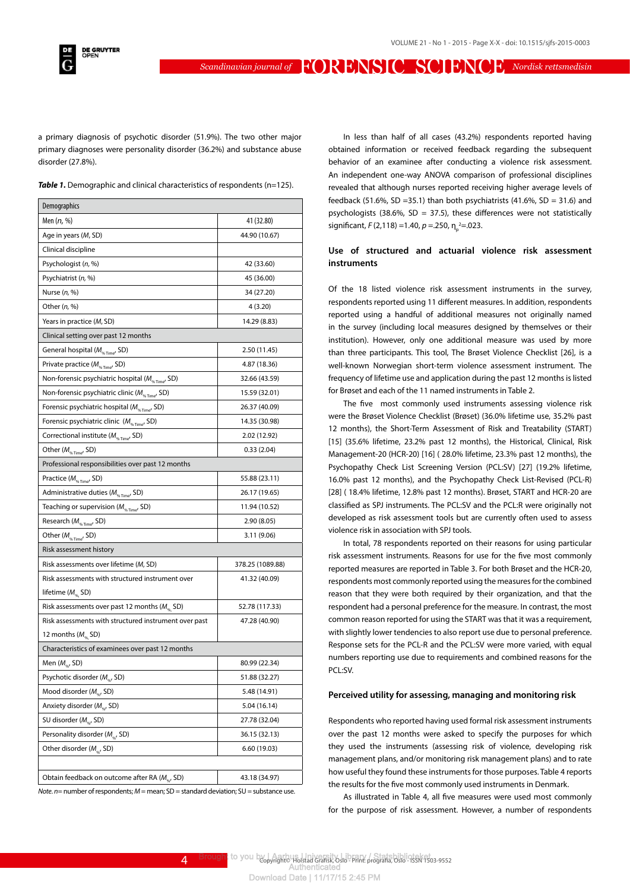a primary diagnosis of psychotic disorder (51.9%). The two other major primary diagnoses were personality disorder (36.2%) and substance abuse disorder (27.8%).

**Table 1.** Demographic and clinical characteristics of respondents (n=125).

| Demographics                                                                               |                  |
|--------------------------------------------------------------------------------------------|------------------|
| Men ( <i>n</i> , %)                                                                        | 41 (32.80)       |
| Age in years (M, SD)                                                                       | 44.90 (10.67)    |
| Clinical discipline                                                                        |                  |
| Psychologist (n, %)                                                                        | 42 (33.60)       |
| Psychiatrist (n, %)                                                                        | 45 (36.00)       |
| Nurse $(n, %)$                                                                             | 34 (27.20)       |
| Other $(n, %)$                                                                             | 4(3.20)          |
| Years in practice (M, SD)                                                                  | 14.29 (8.83)     |
| Clinical setting over past 12 months                                                       |                  |
| General hospital ( $M_{\text{S}}$ <sub>Time</sub> , SD)                                    | 2.50 (11.45)     |
| Private practice ( $M_{\text{w, Time}}$ , SD)                                              | 4.87 (18.36)     |
| Non-forensic psychiatric hospital ( $M_{\rm \tiny\rm \tiny\rm \tiny K, Time^{\prime}}$ SD) | 32.66 (43.59)    |
| Non-forensic psychiatric clinic (M <sub>%Time</sub> , SD)                                  | 15.59 (32.01)    |
| Forensic psychiatric hospital ( $M_{\text{w-time}}$ , SD)                                  | 26.37 (40.09)    |
| Forensic psychiatric clinic $(M_{\nu_{\text{extrightarrow}}}, SD)$                         | 14.35 (30.98)    |
| Correctional institute ( $M_{\text{wTime}}$ , SD)                                          | 2.02 (12.92)     |
| Other ( $M_{\text{%Time}}$ , SD)                                                           | 0.33(2.04)       |
| Professional responsibilities over past 12 months                                          |                  |
| Practice (M <sub>%Time</sub> , SD)                                                         | 55.88 (23.11)    |
| Administrative duties ( $M_{\text{S}}$ <sub>Time</sub> , SD)                               | 26.17 (19.65)    |
| Teaching or supervision ( $M_{\text{q}_{\text{string}}}$ , SD)                             | 11.94 (10.52)    |
| Research ( $M_{\text{q}_6 \text{Time}}$ , SD)                                              | 2.90 (8.05)      |
| Other ( $M_{\gamma_6 \text{Time}}$ , SD)                                                   | 3.11 (9.06)      |
| Risk assessment history                                                                    |                  |
| Risk assessments over lifetime (M, SD)                                                     | 378.25 (1089.88) |
| Risk assessments with structured instrument over                                           | 41.32 (40.09)    |
| lifetime ( $M_{\textrm{\tiny{W}}}$ SD)                                                     |                  |
| Risk assessments over past 12 months ( $M_{\alpha}$ SD)                                    | 52.78 (117.33)   |
| Risk assessments with structured instrument over past                                      | 47.28 (40.90)    |
| 12 months ( $M_{\textrm{\tiny th}}$ SD)                                                    |                  |
| Characteristics of examinees over past 12 months                                           |                  |
| Men ( $M_{\textrm{\tiny{N}}\textrm{\tiny{N}}}$ , SD)                                       | 80.99 (22.34)    |
| Psychotic disorder (M <sub>%</sub> , SD)                                                   | 51.88 (32.27)    |
| Mood disorder $(M_{\omega}, SD)$                                                           | 5.48 (14.91)     |
| Anxiety disorder (M <sub>ox</sub> , SD)                                                    | 5.04 (16.14)     |
| SU disorder ( $M_{\textrm{\tiny ext}}$ , SD)                                               | 27.78 (32.04)    |
| Personality disorder (M <sub>ac</sub> , SD)                                                | 36.15 (32.13)    |
| Other disorder ( $M_{\textrm{\tiny ext}}$ , SD)                                            | 6.60 (19.03)     |
|                                                                                            |                  |
| Obtain feedback on outcome after RA (M <sub>er</sub> , SD)                                 | 43.18 (34.97)    |

*Note*. *n*= number of respondents; *M* = mean; SD = standard deviation; SU = substance use.

In less than half of all cases (43.2%) respondents reported having obtained information or received feedback regarding the subsequent behavior of an examinee after conducting a violence risk assessment. An independent one-way ANOVA comparison of professional disciplines revealed that although nurses reported receiving higher average levels of feedback (51.6%, SD =35.1) than both psychiatrists (41.6%, SD = 31.6) and psychologists (38.6%, SD = 37.5), these differences were not statistically significant, *F* (2,118) = 1.40, *p* = .250, η<sub>ρ</sub><sup>2</sup>= .023.

#### **Use of structured and actuarial violence risk assessment instruments**

Of the 18 listed violence risk assessment instruments in the survey, respondents reported using 11 different measures. In addition, respondents reported using a handful of additional measures not originally named in the survey (including local measures designed by themselves or their institution). However, only one additional measure was used by more than three participants. This tool, The Brøset Violence Checklist [26], is a well-known Norwegian short-term violence assessment instrument. The frequency of lifetime use and application during the past 12 months is listed for Brøset and each of the 11 named instruments in Table 2.

The five most commonly used instruments assessing violence risk were the Brøset Violence Checklist (Brøset) (36.0% lifetime use, 35.2% past 12 months), the Short-Term Assessment of Risk and Treatability (START) [15] (35.6% lifetime, 23.2% past 12 months), the Historical, Clinical, Risk Management-20 (HCR-20) [16] ( 28.0% lifetime, 23.3% past 12 months), the Psychopathy Check List Screening Version (PCL:SV) [27] (19.2% lifetime, 16.0% past 12 months), and the Psychopathy Check List-Revised (PCL-R) [28] ( 18.4% lifetime, 12.8% past 12 months). Brøset, START and HCR-20 are classified as SPJ instruments. The PCL:SV and the PCL:R were originally not developed as risk assessment tools but are currently often used to assess violence risk in association with SPJ tools.

In total, 78 respondents reported on their reasons for using particular risk assessment instruments. Reasons for use for the five most commonly reported measures are reported in Table 3. For both Brøset and the HCR-20, respondents most commonly reported using the measures for the combined reason that they were both required by their organization, and that the respondent had a personal preference for the measure. In contrast, the most common reason reported for using the START was that it was a requirement, with slightly lower tendencies to also report use due to personal preference. Response sets for the PCL-R and the PCL:SV were more varied, with equal numbers reporting use due to requirements and combined reasons for the PCL:SV.

#### **Perceived utility for assessing, managing and monitoring risk**

Respondents who reported having used formal risk assessment instruments over the past 12 months were asked to specify the purposes for which they used the instruments (assessing risk of violence, developing risk management plans, and/or monitoring risk management plans) and to rate how useful they found these instruments for those purposes. Table 4 reports the results for the five most commonly used instruments in Denmark.

As illustrated in Table 4, all five measures were used most commonly for the purpose of risk assessment. However, a number of respondents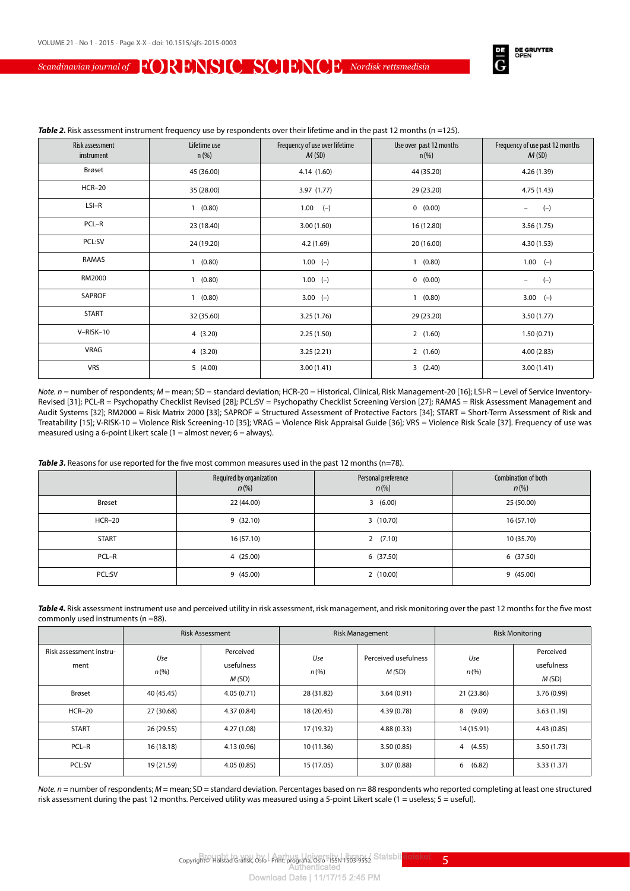

| Risk assessment<br>instrument | Lifetime use<br>$n$ (%) | Frequency of use over lifetime<br>M(SD) | Use over past 12 months<br>$n$ (%) | Frequency of use past 12 months<br>M(SD) |  |
|-------------------------------|-------------------------|-----------------------------------------|------------------------------------|------------------------------------------|--|
| Brøset                        | 45 (36.00)              | 4.14(1.60)                              | 44 (35.20)                         | 4.26 (1.39)                              |  |
| <b>HCR-20</b>                 | 35 (28.00)              | 3.97(1.77)                              | 29 (23.20)                         | 4.75 (1.43)                              |  |
| $LSI-R$                       | 1(0.80)                 | $1.00$ (-)                              | 0(0.00)                            | $(-)$<br>$\overline{\phantom{0}}$        |  |
| PCL-R                         | 23 (18.40)              | 3.00(1.60)                              | 16 (12.80)                         | 3.56(1.75)                               |  |
| PCL:SV                        | 24 (19.20)              | 4.2(1.69)                               | 20 (16.00)                         | 4.30(1.53)                               |  |
| RAMAS                         | 1(0.80)                 | $1.00$ (-)                              | 1(0.80)                            | $1.00$ (-)                               |  |
| RM2000                        | 1(0.80)                 | $1.00$ (-)                              | 0(0.00)                            | $(-)$<br>$\overline{\phantom{0}}$        |  |
| SAPROF                        | 1(0.80)                 | $3.00 (-)$                              | 1(0.80)                            | $3.00$ (-)                               |  |
| <b>START</b>                  | 32 (35.60)              | 3.25(1.76)                              | 29 (23.20)                         | 3.50(1.77)                               |  |
| V-RISK-10                     | 4(3.20)                 | 2.25(1.50)                              | 2(1.60)                            | 1.50(0.71)                               |  |
| VRAG                          | 4(3.20)                 | 3.25(2.21)                              | 2(1.60)                            | 4.00(2.83)                               |  |
| <b>VRS</b>                    | 5(4.00)                 | 3.00(1.41)                              | 3(2.40)                            | 3.00(1.41)                               |  |

*Note. n* = number of respondents; *M* = mean; SD = standard deviation; HCR-20 = Historical, Clinical, Risk Management-20 [16]; LSI-R = Level of Service Inventory-Revised [31]; PCL-R = Psychopathy Checklist Revised [28]; PCL:SV = Psychopathy Checklist Screening Version [27]; RAMAS = Risk Assessment Management and Audit Systems [32]; RM2000 = Risk Matrix 2000 [33]; SAPROF = Structured Assessment of Protective Factors [34]; START = Short-Term Assessment of Risk and Treatability [15]; V-RISK-10 = Violence Risk Screening-10 [35]; VRAG = Violence Risk Appraisal Guide [36]; VRS = Violence Risk Scale [37]. Frequency of use was measured using a 6-point Likert scale ( $1 =$  almost never;  $6 =$  always).

#### **Table 3.** Reasons for use reported for the five most common measures used in the past 12 months (n=78).

|              | Required by organization<br>$n(\%)$ | Personal preference<br>$n(\%)$ | Combination of both<br>$n(\%)$ |
|--------------|-------------------------------------|--------------------------------|--------------------------------|
| Brøset       | 22 (44.00)                          | 3(6.00)                        | 25 (50.00)                     |
| $HCR-20$     | 9(32.10)                            | 3(10.70)                       | 16(57.10)                      |
| <b>START</b> | 16(57.10)                           | 2(7.10)                        | 10 (35.70)                     |
| PCL-R        | 4 (25.00)                           | 6(37.50)                       | 6(37.50)                       |
| PCL:SV       | 9(45.00)                            | 2(10.00)                       | 9(45.00)                       |

Table 4. Risk assessment instrument use and perceived utility in risk assessment, risk management, and risk monitoring over the past 12 months for the five most commonly used instruments (n =88).

|                                 | <b>Risk Assessment</b> |                                  | <b>Risk Management</b> |                               | <b>Risk Monitoring</b> |                                  |
|---------------------------------|------------------------|----------------------------------|------------------------|-------------------------------|------------------------|----------------------------------|
| Risk assessment instru-<br>ment | Use<br>$n (\%)$        | Perceived<br>usefulness<br>M(SD) | Use<br>$n (\%)$        | Perceived usefulness<br>M(SD) | Use<br>$n (\%)$        | Perceived<br>usefulness<br>M(SD) |
| Brøset                          | 40 (45.45)             | 4.05(0.71)                       | 28 (31.82)             | 3.64(0.91)                    | 21 (23.86)             | 3.76 (0.99)                      |
| $HCR-20$                        | 27 (30.68)             | 4.37(0.84)                       | 18 (20.45)             | 4.39(0.78)                    | 8<br>(9.09)            | 3.63(1.19)                       |
| <b>START</b>                    | 26 (29.55)             | 4.27(1.08)                       | 17 (19.32)             | 4.88(0.33)                    | 14 (15.91)             | 4.43(0.85)                       |
| PCL-R                           | 16(18.18)              | 4.13(0.96)                       | 10 (11.36)             | 3.50(0.85)                    | (4.55)<br>4            | 3.50(1.73)                       |
| PCL:SV                          | 19 (21.59)             | 4.05(0.85)                       | 15 (17.05)             | 3.07(0.88)                    | (6.82)<br>6            | 3.33(1.37)                       |

*Note. n* = number of respondents; *M* = mean; SD = standard deviation. Percentages based on n= 88 respondents who reported completing at least one structured risk assessment during the past 12 months. Perceived utility was measured using a 5-point Likert scale (1 = useless; 5 = useful).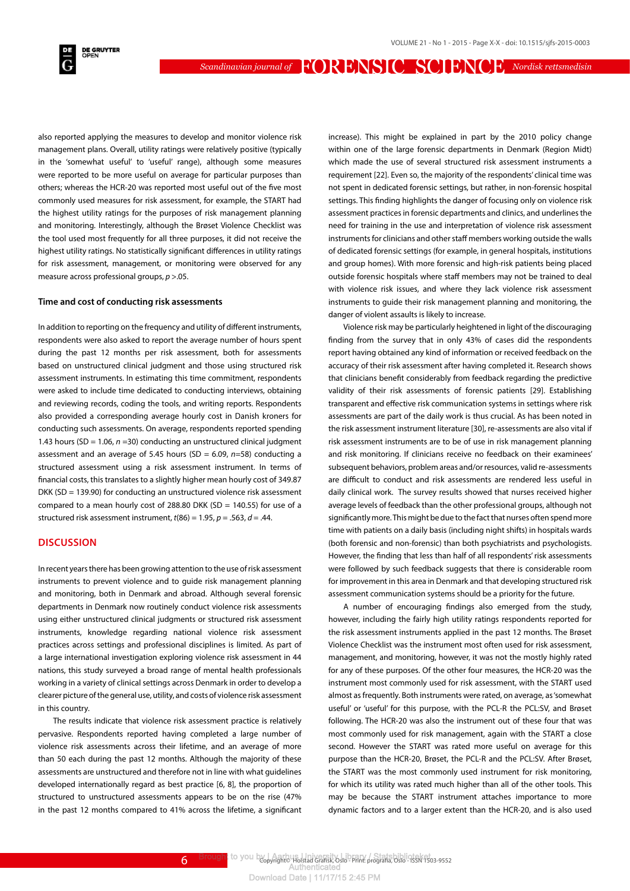also reported applying the measures to develop and monitor violence risk management plans. Overall, utility ratings were relatively positive (typically in the 'somewhat useful' to 'useful' range), although some measures were reported to be more useful on average for particular purposes than others; whereas the HCR-20 was reported most useful out of the five most commonly used measures for risk assessment, for example, the START had the highest utility ratings for the purposes of risk management planning and monitoring. Interestingly, although the Brøset Violence Checklist was the tool used most frequently for all three purposes, it did not receive the highest utility ratings. No statistically significant differences in utility ratings for risk assessment, management, or monitoring were observed for any measure across professional groups, *p* >.05.

#### **Time and cost of conducting risk assessments**

In addition to reporting on the frequency and utility of different instruments, respondents were also asked to report the average number of hours spent during the past 12 months per risk assessment, both for assessments based on unstructured clinical judgment and those using structured risk assessment instruments. In estimating this time commitment, respondents were asked to include time dedicated to conducting interviews, obtaining and reviewing records, coding the tools, and writing reports. Respondents also provided a corresponding average hourly cost in Danish kroners for conducting such assessments. On average, respondents reported spending 1.43 hours (SD = 1.06, *n* =30) conducting an unstructured clinical judgment assessment and an average of 5.45 hours (SD = 6.09, *n*=58) conducting a structured assessment using a risk assessment instrument. In terms of financial costs, this translates to a slightly higher mean hourly cost of 349.87 DKK (SD = 139.90) for conducting an unstructured violence risk assessment compared to a mean hourly cost of 288.80 DKK (SD = 140.55) for use of a structured risk assessment instrument,  $t(86) = 1.95$ ,  $p = .563$ ,  $d = .44$ .

#### **DISCUSSION**

In recent years there has been growing attention to the use of risk assessment instruments to prevent violence and to guide risk management planning and monitoring, both in Denmark and abroad. Although several forensic departments in Denmark now routinely conduct violence risk assessments using either unstructured clinical judgments or structured risk assessment instruments, knowledge regarding national violence risk assessment practices across settings and professional disciplines is limited. As part of a large international investigation exploring violence risk assessment in 44 nations, this study surveyed a broad range of mental health professionals working in a variety of clinical settings across Denmark in order to develop a clearer picture of the general use, utility, and costs of violence risk assessment in this country.

The results indicate that violence risk assessment practice is relatively pervasive. Respondents reported having completed a large number of violence risk assessments across their lifetime, and an average of more than 50 each during the past 12 months. Although the majority of these assessments are unstructured and therefore not in line with what guidelines developed internationally regard as best practice [6, 8], the proportion of structured to unstructured assessments appears to be on the rise (47% in the past 12 months compared to 41% across the lifetime, a significant

increase). This might be explained in part by the 2010 policy change within one of the large forensic departments in Denmark (Region Midt) which made the use of several structured risk assessment instruments a requirement [22]. Even so, the majority of the respondents' clinical time was not spent in dedicated forensic settings, but rather, in non-forensic hospital settings. This finding highlights the danger of focusing only on violence risk assessment practices in forensic departments and clinics, and underlines the need for training in the use and interpretation of violence risk assessment instruments for clinicians and other staff members working outside the walls of dedicated forensic settings (for example, in general hospitals, institutions and group homes). With more forensic and high-risk patients being placed outside forensic hospitals where staff members may not be trained to deal with violence risk issues, and where they lack violence risk assessment instruments to guide their risk management planning and monitoring, the danger of violent assaults is likely to increase.

Violence risk may be particularly heightened in light of the discouraging finding from the survey that in only 43% of cases did the respondents report having obtained any kind of information or received feedback on the accuracy of their risk assessment after having completed it. Research shows that clinicians benefit considerably from feedback regarding the predictive validity of their risk assessments of forensic patients [29]. Establishing transparent and effective risk communication systems in settings where risk assessments are part of the daily work is thus crucial. As has been noted in the risk assessment instrument literature [30], re-assessments are also vital if risk assessment instruments are to be of use in risk management planning and risk monitoring. If clinicians receive no feedback on their examinees' subsequent behaviors, problem areas and/or resources, valid re-assessments are difficult to conduct and risk assessments are rendered less useful in daily clinical work. The survey results showed that nurses received higher average levels of feedback than the other professional groups, although not significantly more. This might be due to the fact that nurses often spend more time with patients on a daily basis (including night shifts) in hospitals wards (both forensic and non-forensic) than both psychiatrists and psychologists. However, the finding that less than half of all respondents' risk assessments were followed by such feedback suggests that there is considerable room for improvement in this area in Denmark and that developing structured risk assessment communication systems should be a priority for the future.

A number of encouraging findings also emerged from the study, however, including the fairly high utility ratings respondents reported for the risk assessment instruments applied in the past 12 months. The Brøset Violence Checklist was the instrument most often used for risk assessment, management, and monitoring, however, it was not the mostly highly rated for any of these purposes. Of the other four measures, the HCR-20 was the instrument most commonly used for risk assessment, with the START used almost as frequently. Both instruments were rated, on average, as 'somewhat useful' or 'useful' for this purpose, with the PCL-R the PCL:SV, and Brøset following. The HCR-20 was also the instrument out of these four that was most commonly used for risk management, again with the START a close second. However the START was rated more useful on average for this purpose than the HCR-20, Brøset, the PCL-R and the PCL:SV. After Brøset, the START was the most commonly used instrument for risk monitoring, for which its utility was rated much higher than all of the other tools. This may be because the START instrument attaches importance to more dynamic factors and to a larger extent than the HCR-20, and is also used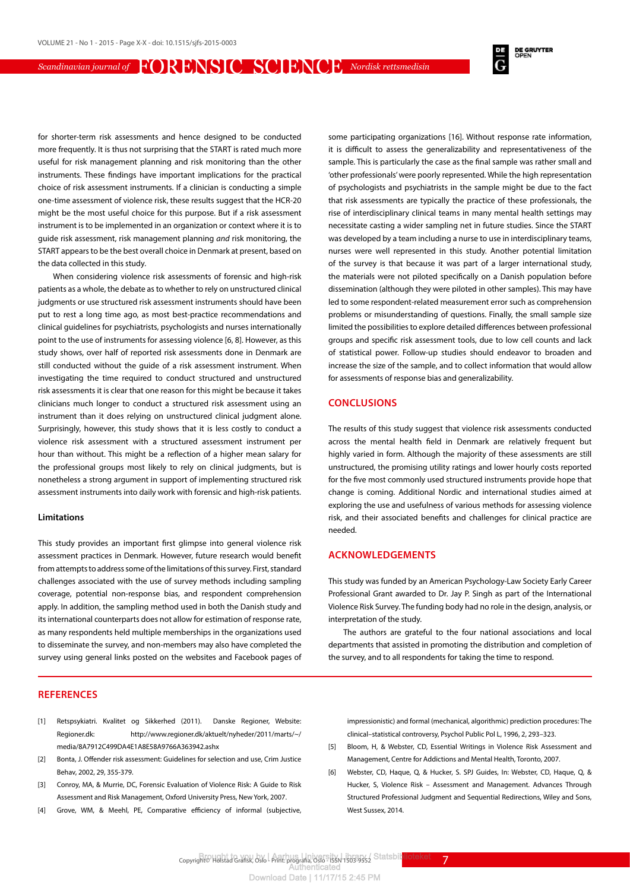**DE GRUYTER**<br>OPEN

for shorter-term risk assessments and hence designed to be conducted more frequently. It is thus not surprising that the START is rated much more useful for risk management planning and risk monitoring than the other instruments. These findings have important implications for the practical choice of risk assessment instruments. If a clinician is conducting a simple one-time assessment of violence risk, these results suggest that the HCR-20 might be the most useful choice for this purpose. But if a risk assessment instrument is to be implemented in an organization or context where it is to guide risk assessment, risk management planning *and* risk monitoring, the START appears to be the best overall choice in Denmark at present, based on the data collected in this study.

When considering violence risk assessments of forensic and high-risk patients as a whole, the debate as to whether to rely on unstructured clinical judgments or use structured risk assessment instruments should have been put to rest a long time ago, as most best-practice recommendations and clinical guidelines for psychiatrists, psychologists and nurses internationally point to the use of instruments for assessing violence [6, 8]. However, as this study shows, over half of reported risk assessments done in Denmark are still conducted without the guide of a risk assessment instrument. When investigating the time required to conduct structured and unstructured risk assessments it is clear that one reason for this might be because it takes clinicians much longer to conduct a structured risk assessment using an instrument than it does relying on unstructured clinical judgment alone. Surprisingly, however, this study shows that it is less costly to conduct a violence risk assessment with a structured assessment instrument per hour than without. This might be a reflection of a higher mean salary for the professional groups most likely to rely on clinical judgments, but is nonetheless a strong argument in support of implementing structured risk assessment instruments into daily work with forensic and high-risk patients.

#### **Limitations**

This study provides an important first glimpse into general violence risk assessment practices in Denmark. However, future research would benefit from attempts to address some of the limitations of this survey. First, standard challenges associated with the use of survey methods including sampling coverage, potential non-response bias, and respondent comprehension apply. In addition, the sampling method used in both the Danish study and its international counterparts does not allow for estimation of response rate, as many respondents held multiple memberships in the organizations used to disseminate the survey, and non-members may also have completed the survey using general links posted on the websites and Facebook pages of

#### **REFERENCES**

- [1] Retspsykiatri. Kvalitet og Sikkerhed (2011). Danske Regioner, Website: Regioner.dk: http://www.regioner.dk/aktuelt/nyheder/2011/marts/~/ media/8A7912C499DA4E1A8E58A9766A363942.ashx
- [2] Bonta, J. Offender risk assessment: Guidelines for selection and use, Crim Justice Behav, 2002, 29, 355-379.
- [3] Conroy, MA, & Murrie, DC, Forensic Evaluation of Violence Risk: A Guide to Risk Assessment and Risk Management, Oxford University Press, New York, 2007.
- [4] Grove, WM, & Meehl, PE, Comparative efficiency of informal (subjective,

some participating organizations [16]. Without response rate information, it is difficult to assess the generalizability and representativeness of the sample. This is particularly the case as the final sample was rather small and 'other professionals' were poorly represented. While the high representation of psychologists and psychiatrists in the sample might be due to the fact that risk assessments are typically the practice of these professionals, the rise of interdisciplinary clinical teams in many mental health settings may necessitate casting a wider sampling net in future studies. Since the START was developed by a team including a nurse to use in interdisciplinary teams, nurses were well represented in this study. Another potential limitation of the survey is that because it was part of a larger international study, the materials were not piloted specifically on a Danish population before dissemination (although they were piloted in other samples). This may have led to some respondent-related measurement error such as comprehension problems or misunderstanding of questions. Finally, the small sample size limited the possibilities to explore detailed differences between professional groups and specific risk assessment tools, due to low cell counts and lack of statistical power. Follow-up studies should endeavor to broaden and increase the size of the sample, and to collect information that would allow for assessments of response bias and generalizability.

#### **CONCLUSIONS**

The results of this study suggest that violence risk assessments conducted across the mental health field in Denmark are relatively frequent but highly varied in form. Although the majority of these assessments are still unstructured, the promising utility ratings and lower hourly costs reported for the five most commonly used structured instruments provide hope that change is coming. Additional Nordic and international studies aimed at exploring the use and usefulness of various methods for assessing violence risk, and their associated benefits and challenges for clinical practice are needed.

#### **ACKNOWLEDGEMENTS**

This study was funded by an American Psychology-Law Society Early Career Professional Grant awarded to Dr. Jay P. Singh as part of the International Violence Risk Survey. The funding body had no role in the design, analysis, or interpretation of the study.

The authors are grateful to the four national associations and local departments that assisted in promoting the distribution and completion of the survey, and to all respondents for taking the time to respond.

impressionistic) and formal (mechanical, algorithmic) prediction procedures: The clinical–statistical controversy, Psychol Public Pol L, 1996, 2, 293–323.

- [5] Bloom, H, & Webster, CD, Essential Writings in Violence Risk Assessment and Management, Centre for Addictions and Mental Health, Toronto, 2007.
- [6] Webster, CD, Haque, Q, & Hucker, S. SPJ Guides, In: Webster, CD, Haque, Q, & Hucker, S, Violence Risk – Assessment and Management. Advances Through Structured Professional Judgment and Sequential Redirections, Wiley and Sons, West Sussex, 2014.

Copyright© Holstad Grafisk, Oslo - Print: prografia, Oslo - ISSN 1503-9552 Statsbil<mark>t lioteket</mark>ter **7**